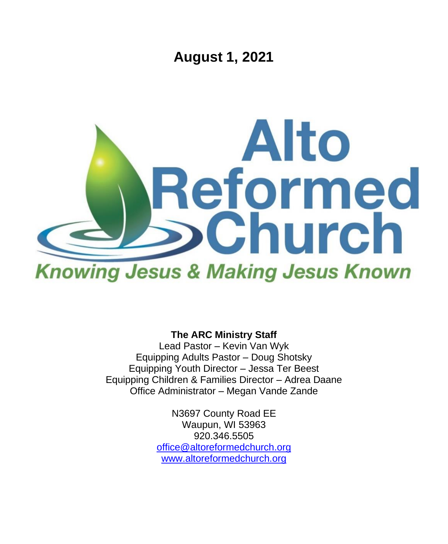**August 1, 2021**



**The ARC Ministry Staff**

Lead Pastor – Kevin Van Wyk Equipping Adults Pastor – Doug Shotsky Equipping Youth Director – Jessa Ter Beest Equipping Children & Families Director – Adrea Daane Office Administrator – Megan Vande Zande

> N3697 County Road EE Waupun, WI 53963 920.346.5505 [office@altoreformedchurch.org](mailto:office@altoreformedchurch.org) [www.altoreformedchurch.org](http://www.altoreformedchurch.org/)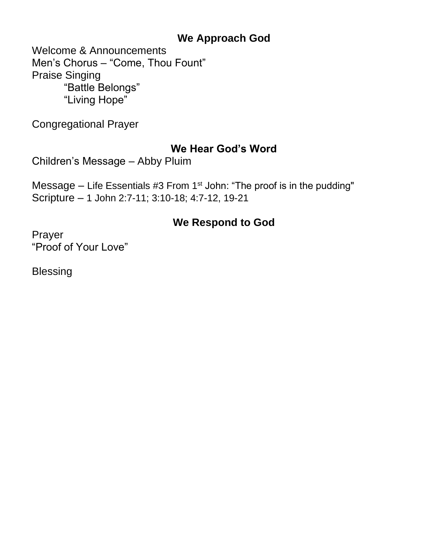## **We Approach God**

Welcome & Announcements Men's Chorus – "Come, Thou Fount" Praise Singing "Battle Belongs" "Living Hope"

Congregational Prayer

## **We Hear God's Word**

Children's Message – Abby Pluim

Message  $-$  Life Essentials #3 From 1<sup>st</sup> John: "The proof is in the pudding" Scripture – 1 John 2:7-11; 3:10-18; 4:7-12, 19-21

# **We Respond to God**

Prayer "Proof of Your Love"

**Blessing**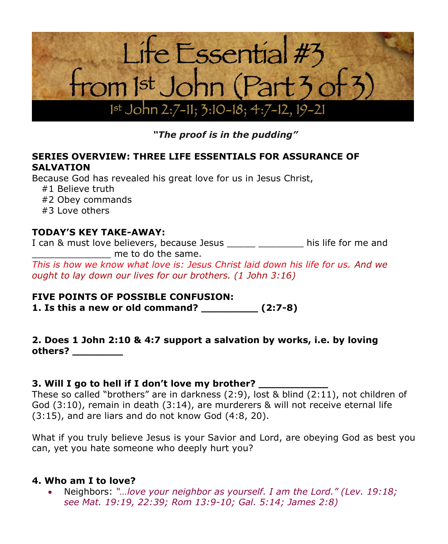

*"The proof is in the pudding"*

#### **SERIES OVERVIEW: THREE LIFE ESSENTIALS FOR ASSURANCE OF SALVATION**

Because God has revealed his great love for us in Jesus Christ,

- #1 Believe truth
- #2 Obey commands
- #3 Love others

## **TODAY'S KEY TAKE-AWAY:**

I can & must love believers, because Jesus This life for me and me to do the same.

*This is how we know what love is: Jesus Christ laid down his life for us. And we ought to lay down our lives for our brothers. (1 John 3:16)*

### **FIVE POINTS OF POSSIBLE CONFUSION:**

**1. Is this a new or old command? \_\_\_\_\_\_\_\_\_ (2:7-8)**

### **2. Does 1 John 2:10 & 4:7 support a salvation by works, i.e. by loving others? \_\_\_\_\_\_\_\_**

### **3. Will I go to hell if I don't love my brother? \_\_\_\_\_\_\_\_\_\_\_**

These so called "brothers" are in darkness (2:9), lost & blind (2:11), not children of God (3:10), remain in death (3:14), are murderers & will not receive eternal life (3:15), and are liars and do not know God (4:8, 20).

What if you truly believe Jesus is your Savior and Lord, are obeying God as best you can, yet you hate someone who deeply hurt you?

### **4. Who am I to love?**

• Neighbors: *"…love your neighbor as yourself. I am the Lord." (Lev. 19:18; see Mat. 19:19, 22:39; Rom 13:9-10; Gal. 5:14; James 2:8)*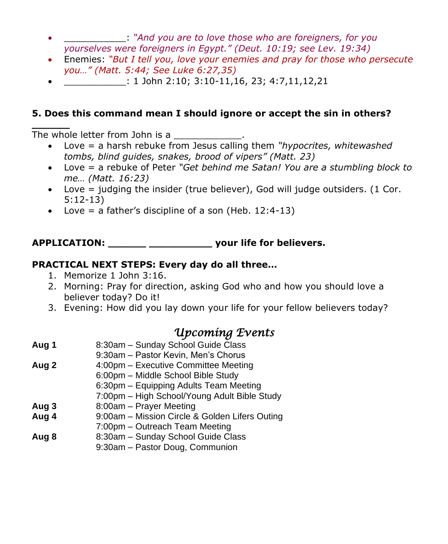- \_\_\_\_\_\_\_\_\_\_\_: *"And you are to love those who are foreigners, for you yourselves were foreigners in Egypt." (Deut. 10:19; see Lev. 19:34)*
- Enemies: *"But I tell you, love your enemies and pray for those who persecute you…" (Matt. 5:44; See Luke 6:27,35)*
- $\colon 1$  John 2:10; 3:10-11,16, 23; 4:7,11,12,21

## **5. Does this command mean I should ignore or accept the sin in others?**

**\_\_\_\_\_\_** The whole letter from John is a

- Love = a harsh rebuke from Jesus calling them *"hypocrites, whitewashed tombs, blind guides, snakes, brood of vipers" (Matt. 23)*
- Love = a rebuke of Peter *"Get behind me Satan! You are a stumbling block to me… (Matt. 16:23)*
- Love = judging the insider (true believer), God will judge outsiders. (1 Cor. 5:12-13)
- Love = a father's discipline of a son (Heb.  $12:4-13$ )

## **APPLICATION: \_\_\_\_\_\_ \_\_\_\_\_\_\_\_\_\_ your life for believers.**

### **PRACTICAL NEXT STEPS: Every day do all three…**

- 1. Memorize 1 John 3:16.
- 2. Morning: Pray for direction, asking God who and how you should love a believer today? Do it!
- 3. Evening: How did you lay down your life for your fellow believers today?

# *Upcoming Events*

- **Aug 1** 8:30am Sunday School Guide Class
	- 9:30am Pastor Kevin, Men's Chorus
- **Aug 2** 4:00pm Executive Committee Meeting
	- 6:00pm Middle School Bible Study
		- 6:30pm Equipping Adults Team Meeting
		- 7:00pm High School/Young Adult Bible Study
- **Aug 3** 8:00am Prayer Meeting
- **Aug 4** 9:00am Mission Circle & Golden Lifers Outing
- 7:00pm Outreach Team Meeting
- **Aug 8** 8:30am Sunday School Guide Class
- 9:30am Pastor Doug, Communion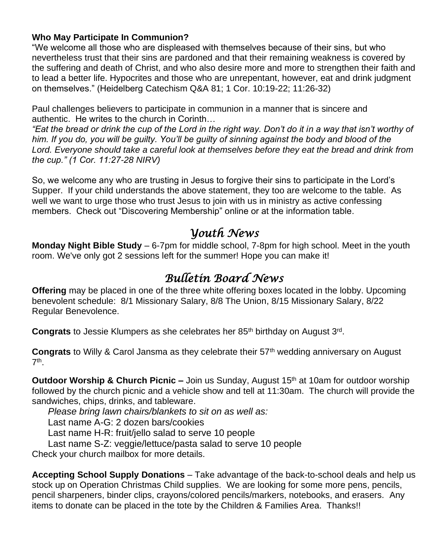#### **Who May Participate In Communion?**

"We welcome all those who are displeased with themselves because of their sins, but who nevertheless trust that their sins are pardoned and that their remaining weakness is covered by the suffering and death of Christ, and who also desire more and more to strengthen their faith and to lead a better life. Hypocrites and those who are unrepentant, however, eat and drink judgment on themselves." (Heidelberg Catechism Q&A 81; 1 Cor. 10:19-22; 11:26-32)

Paul challenges believers to participate in communion in a manner that is sincere and authentic. He writes to the church in Corinth…

*"Eat the bread or drink the cup of the Lord in the right way. Don't do it in a way that isn't worthy of him. If you do, you will be guilty. You'll be guilty of sinning against the body and blood of the Lord. Everyone should take a careful look at themselves before they eat the bread and drink from the cup." (1 Cor. 11:27-28 NIRV)*

So, we welcome any who are trusting in Jesus to forgive their sins to participate in the Lord's Supper. If your child understands the above statement, they too are welcome to the table. As well we want to urge those who trust Jesus to join with us in ministry as active confessing members. Check out "Discovering Membership" online or at the information table.

## *Youth News*

**Monday Night Bible Study** – 6-7pm for middle school, 7-8pm for high school. Meet in the youth room. We've only got 2 sessions left for the summer! Hope you can make it!

# *Bulletin Board News*

**Offering** may be placed in one of the three white offering boxes located in the lobby. Upcoming benevolent schedule: 8/1 Missionary Salary, 8/8 The Union, 8/15 Missionary Salary, 8/22 Regular Benevolence.

Congrats to Jessie Klumpers as she celebrates her 85<sup>th</sup> birthday on August 3<sup>rd</sup>.

**Congrats** to Willy & Carol Jansma as they celebrate their 57th wedding anniversary on August 7 th .

**Outdoor Worship & Church Picnic –** Join us Sunday, August 15<sup>th</sup> at 10am for outdoor worship followed by the church picnic and a vehicle show and tell at 11:30am.The church will provide the sandwiches, chips, drinks, and tableware.

*Please bring lawn chairs/blankets to sit on as well as:*

Last name A-G: 2 dozen bars/cookies

Last name H-R: fruit/jello salad to serve 10 people

Last name S-Z: veggie/lettuce/pasta salad to serve 10 people

Check your church mailbox for more details.

**Accepting School Supply Donations** – Take advantage of the back-to-school deals and help us stock up on Operation Christmas Child supplies. We are looking for some more pens, pencils, pencil sharpeners, binder clips, crayons/colored pencils/markers, notebooks, and erasers. Any items to donate can be placed in the tote by the Children & Families Area. Thanks!!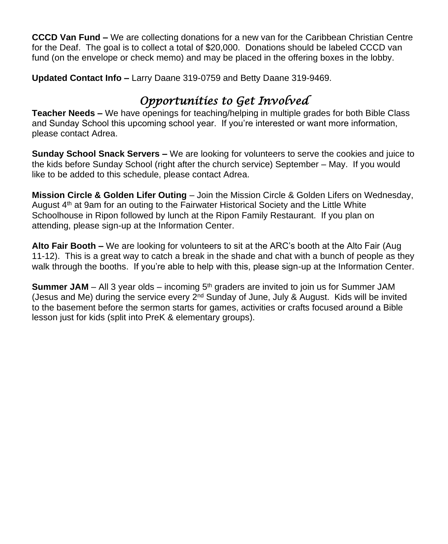**CCCD Van Fund –** We are collecting donations for a new van for the Caribbean Christian Centre for the Deaf. The goal is to collect a total of \$20,000. Donations should be labeled CCCD van fund (on the envelope or check memo) and may be placed in the offering boxes in the lobby.

**Updated Contact Info –** Larry Daane 319-0759 and Betty Daane 319-9469.

# *Opportunities to Get Involved*

**Teacher Needs –** We have openings for teaching/helping in multiple grades for both Bible Class and Sunday School this upcoming school year. If you're interested or want more information, please contact Adrea.

**Sunday School Snack Servers –** We are looking for volunteers to serve the cookies and juice to the kids before Sunday School (right after the church service) September – May. If you would like to be added to this schedule, please contact Adrea.

**Mission Circle & Golden Lifer Outing** – Join the Mission Circle & Golden Lifers on Wednesday, August  $4<sup>th</sup>$  at 9am for an outing to the Fairwater Historical Society and the Little White Schoolhouse in Ripon followed by lunch at the Ripon Family Restaurant. If you plan on attending, please sign-up at the Information Center.

**Alto Fair Booth –** We are looking for volunteers to sit at the ARC's booth at the Alto Fair (Aug 11-12). This is a great way to catch a break in the shade and chat with a bunch of people as they walk through the booths. If you're able to help with this, please sign-up at the Information Center.

**Summer JAM** – All 3 year olds – incoming 5<sup>th</sup> graders are invited to join us for Summer JAM (Jesus and Me) during the service every 2nd Sunday of June, July & August. Kids will be invited to the basement before the sermon starts for games, activities or crafts focused around a Bible lesson just for kids (split into PreK & elementary groups).